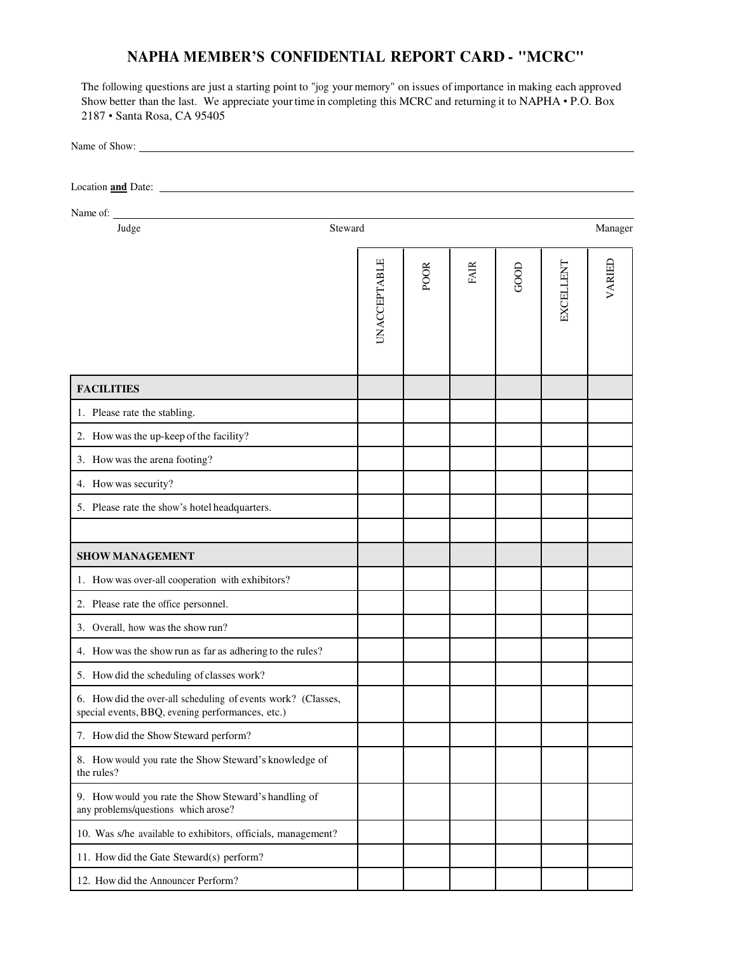## **NAPHA MEMBER'S CONFIDENTIAL REPORT CARD - "MCRC"**

The following questions are just a starting point to "jog your memory" on issues of importance in making each approved Show better than the last. We appreciate your time in completing this MCRC and returning it to NAPHA • P.O. Box 2187 • Santa Rosa, CA 95405

Name of Show: Location **and** Date: Name of: Judge Steward Manager UNACCEPTABLE<br>
POOR<br>
FAIR<br>
FAIR<br>
EXCELLENT<br>
EXCELLENT **FACILITIES** 1. Please rate the stabling. 2. How was the up-keep of the facility? 3. How was the arena footing? 4. How was security? 5. Please rate the show's hotel headquarters. **SHOW MANAGEMENT** 1. How was over-all cooperation with exhibitors? 2. Please rate the office personnel. 3. Overall, how was the show run? 4. How was the show run as far as adhering to the rules? 5. How did the scheduling of classes work? 6. How did the over-all scheduling of events work? (Classes, special events, BBQ, evening performances, etc.) 7. How did the Show Steward perform? 8. How would you rate the Show Steward's knowledge of the rules? 9. How would you rate the Show Steward's handling of any problems/questions which arose? 10. Was s/he available to exhibitors, officials, management? 11. How did the Gate Steward(s) perform? 12. How did the Announcer Perform?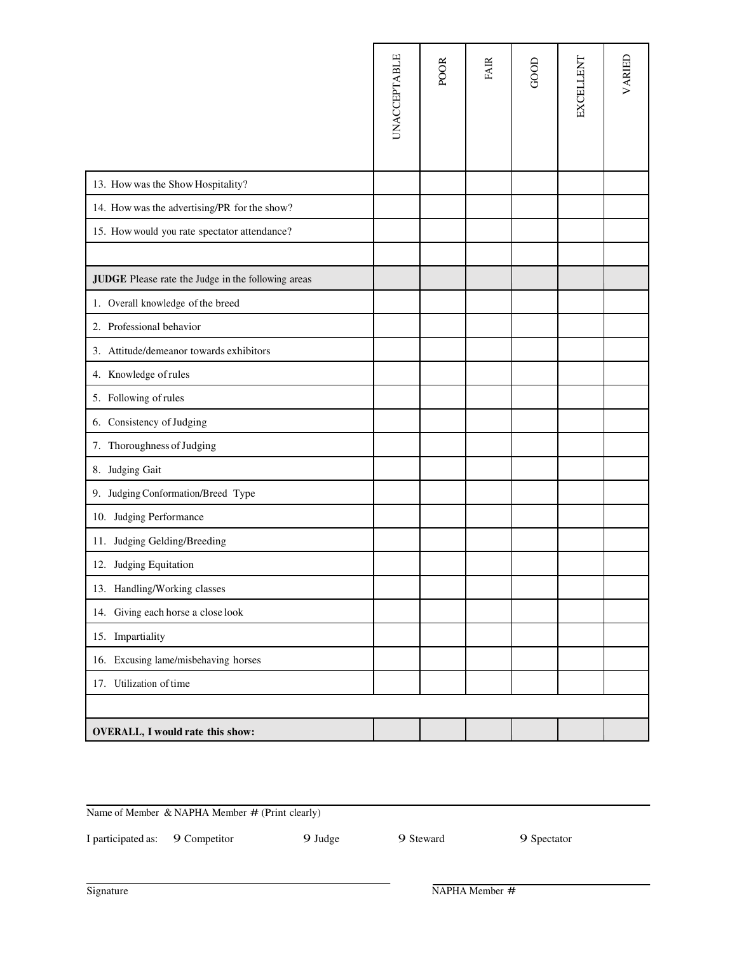|                                                    | <b>UNACCEPTABLE</b> | <b>POOR</b> | <b>FAIR</b> | GOOD | EXCELLENT | VARIED |
|----------------------------------------------------|---------------------|-------------|-------------|------|-----------|--------|
| 13. How was the Show Hospitality?                  |                     |             |             |      |           |        |
| 14. How was the advertising/PR for the show?       |                     |             |             |      |           |        |
| 15. How would you rate spectator attendance?       |                     |             |             |      |           |        |
|                                                    |                     |             |             |      |           |        |
| JUDGE Please rate the Judge in the following areas |                     |             |             |      |           |        |
| 1. Overall knowledge of the breed                  |                     |             |             |      |           |        |
| 2. Professional behavior                           |                     |             |             |      |           |        |
| 3. Attitude/demeanor towards exhibitors            |                     |             |             |      |           |        |
| 4. Knowledge of rules                              |                     |             |             |      |           |        |
| 5. Following of rules                              |                     |             |             |      |           |        |
| 6. Consistency of Judging                          |                     |             |             |      |           |        |
| 7. Thoroughness of Judging                         |                     |             |             |      |           |        |
| 8. Judging Gait                                    |                     |             |             |      |           |        |
| 9. Judging Conformation/Breed Type                 |                     |             |             |      |           |        |
| 10. Judging Performance                            |                     |             |             |      |           |        |
| 11. Judging Gelding/Breeding                       |                     |             |             |      |           |        |
| 12. Judging Equitation                             |                     |             |             |      |           |        |
| 13. Handling/Working classes                       |                     |             |             |      |           |        |
| 14. Giving each horse a close look                 |                     |             |             |      |           |        |
| 15. Impartiality                                   |                     |             |             |      |           |        |
| 16. Excusing lame/misbehaving horses               |                     |             |             |      |           |        |
| 17. Utilization of time                            |                     |             |             |      |           |        |
|                                                    |                     |             |             |      |           |        |
| <b>OVERALL, I would rate this show:</b>            |                     |             |             |      |           |        |

Name of Member & NAPHA Member # (Print clearly)